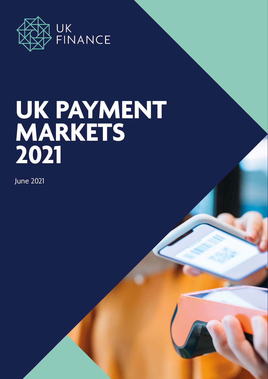

# **UK PAYMENT MARKETS 2021**

June 2021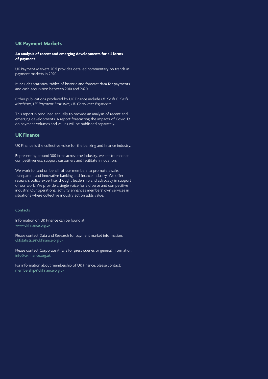#### **UK Payment Markets**

#### **An analysis of recent and emerging developments for all forms of payment**

UK Payment Markets 2021 provides detailed commentary on trends in payment markets in 2020.

It includes statistical tables of historic and forecast data for payments and cash acquisition between 2010 and 2020.

Other publications produced by UK Finance include *UK Cash & Cash Machines, UK Payment Statistics, UK Consumer Payments*.

This report is produced annually to provide an analysis of recent and emerging developments. A report forecasting the impacts of Covid-19 on payment volumes and values will be published separately.

#### **UK Finance**

UK Finance is the collective voice for the banking and finance industry.

Representing around 300 firms across the industry, we act to enhance competitiveness, support customers and facilitate innovation.

We work for and on behalf of our members to promote a safe. transparent and innovative banking and finance industry. We offer research, policy expertise, thought leadership and advocacy in support of our work. We provide a single voice for a diverse and competitive industry. Our operational activity enhances members' own services in situations where collective industry action adds value.

#### Contacts

Information on UK Finance can be found at: www.ukfinance.org.uk

Please contact Data and Research for payment market information: ukfstatistics@ukfinance.org.uk

Please contact Corporate Affairs for press queries or general information: info@ukfinance.org.uk

For information about membership of UK Finance, please contact: membership@ukfinance.org.uk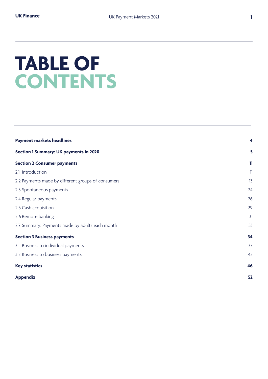## **TABLE OF CONTENTS**

| <b>Payment markets headlines</b>                   | $\overline{\mathbf{4}}$ |
|----------------------------------------------------|-------------------------|
| <b>Section 1 Summary: UK payments in 2020</b>      | 5                       |
| <b>Section 2 Consumer payments</b>                 | 11                      |
| 2.1 Introduction                                   | $\mathbb{I}$            |
| 2.2 Payments made by different groups of consumers | 13                      |
| 2.3 Spontaneous payments                           | 24                      |
| 2.4 Regular payments                               | 26                      |
| 2.5 Cash acquisition                               | 29                      |
| 2.6 Remote banking                                 | 31                      |
| 2.7 Summary: Payments made by adults each month    | 33                      |
| <b>Section 3 Business payments</b>                 | 34                      |
| 3.1 Business to individual payments                | 37                      |
| 3.2 Business to business payments                  | 42                      |
| <b>Key statistics</b>                              | 46                      |
| <b>Appendix</b>                                    | 52                      |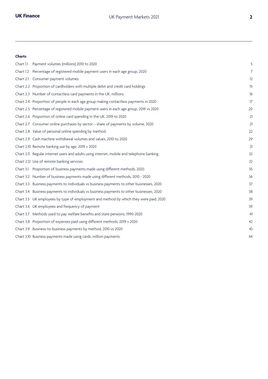#### **Charts**

| Chart 1.1 Payment volumes (millions) 2010 to 2020                                         | 5              |
|-------------------------------------------------------------------------------------------|----------------|
| Chart 1.2 Percentage of registered mobile payment users in each age group, 2020           | $\overline{7}$ |
| Chart 2.1 Consumer payment volumes                                                        | 12             |
| Chart 2.2 Proportion of cardholders with multiple debit and credit card holdings          | 15             |
| Chart 2.3 Number of contactless card payments in the UK, millions                         | 16             |
| Chart 2.4 Proportion of people in each age group making contactless payments in 2020      | 17             |
| Chart 2.5 Percentage of registered mobile payment users in each age group, 2019 vs 2020   | 20             |
| Chart 2.6 Proportion of online card spending in the UK, 2019 to 2020                      | 21             |
| Chart 2.7 Consumer online purchases by sector - share of payments by volume, 2020         | 21             |
| Chart 2.8 Value of personal online spending by method                                     | 22             |
| Chart 2.9 Cash machine withdrawal volumes and values, 2010 to 2020                        | 29             |
| Chart 2.10 Remote banking use by age, 2019 v 2020                                         | 31             |
| Chart 2.11 Regular internet users and adults using internet, mobile and telephone banking | 32             |
| Chart 2.12 Use of remote banking services                                                 | 32             |
| Chart 3.1 Proportion of business payments made using different methods, 2020              | 35             |
| Chart 3.2 Number of business payments made using different methods, 2010 - 2020           | 36             |
| Chart 3.3 Business payments to individuals vs business payments to other businesses, 2020 | 37             |
| Chart 3.4 Business payments to individuals vs business payments to other businesses, 2020 | 38             |
| Chart 3.5 UK employees by type of employment and method by which they were paid, 2020     | 39             |
| Chart 3.6 UK employees and frequency of payment                                           | 39             |
| Chart 3.7 Methods used to pay welfare benefits and state pensions, 1990-2020              | 41             |
| Chart 3.8 Proportion of expenses paid using different methods, 2019 v 2020                | 42             |
| Chart 3.9 Business-to-business payments by method, 2010 vs 2020                           | 43             |
| Chart 3.10 Business payments made using cards, million payments                           | 44             |
|                                                                                           |                |